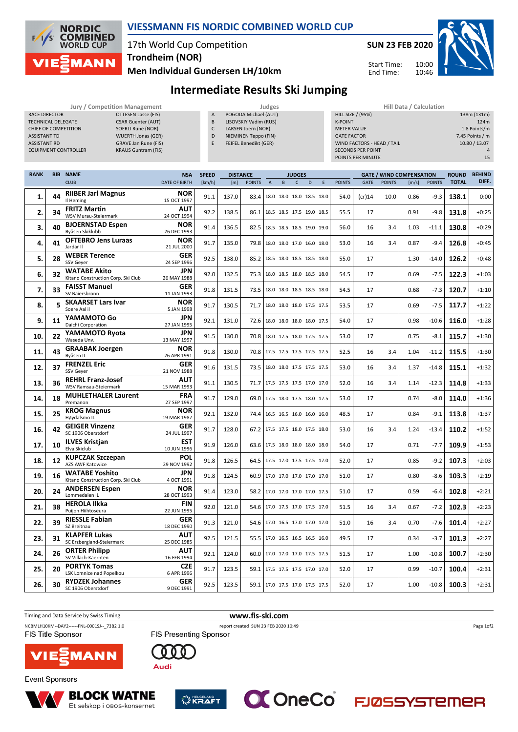

#### **VIESSMANN FIS NORDIC COMBINED WORLD CUP**

## 17th World Cup Competition **Trondheim (NOR)**

**Men Individual Gundersen LH/10km**



Start Time: End Time:

10:00 10:46



## **Intermediate Results Ski Jumping**

|                             | Jury / Competition Management |
|-----------------------------|-------------------------------|
| <b>RACE DIRECTOR</b>        | <b>OTTESEN Lasse (FIS)</b>    |
| <b>TECHNICAL DELEGATE</b>   | <b>CSAR Guenter (AUT)</b>     |
| <b>CHIEF OF COMPETITION</b> | <b>SOERLI Rune (NOR)</b>      |
| <b>ASSISTANT TD</b>         | <b>WUERTH Jonas (GER)</b>     |
| <b>ASSISTANT RD</b>         | <b>GRAVE Jan Rune (FIS)</b>   |
| <b>EQUIPMENT CONTROLLER</b> | <b>KRAUS Guntram (FIS)</b>    |

- A POGODA Michael (AUT) B LISOVSKIY Vadim (RUS) C LARSEN Joern (NOR)
- D NIEMINEN Teppo (FIN)
- E FEIFEL Benedikt (GER)

|             | Jury / Competition Management | Judges                                 |                            | Hill Data / Calculation |
|-------------|-------------------------------|----------------------------------------|----------------------------|-------------------------|
|             | OTTESEN Lasse (FIS)           | POGODA Michael (AUT)<br>$\overline{A}$ | <b>HILL SIZE / (95%)</b>   | 138m (131m)             |
| <b>\TF</b>  | <b>CSAR Guenter (AUT)</b>     | LISOVSKIY Vadim (RUS)<br>B             | <b>K-POINT</b>             | 124m                    |
| <b>TION</b> | SOERLI Rune (NOR)             | LARSEN Joern (NOR)                     | <b>METER VALUE</b>         | 1.8 Points/m            |
|             | <b>WUERTH Jonas (GER)</b>     | NIEMINEN Teppo (FIN)<br>D              | <b>GATE FACTOR</b>         | 7.45 Points / m         |
|             | GRAVE Jan Rune (FIS)          | FEIFEL Benedikt (GER)                  | WIND FACTORS - HEAD / TAIL | 10.80 / 13.07           |
| ROLLER      | <b>KRAUS Guntram (FIS)</b>    |                                        | <b>SECONDS PER POINT</b>   |                         |
|             |                               |                                        | POINTS PER MINUTE          | 15                      |
|             |                               |                                        |                            |                         |

| <b>RANK</b> |    | <b>BIB NAME</b>                                             | <b>NSA</b>                | <b>SPEED</b> | <b>DISTANCE</b> |               |                           | <b>JUDGES</b> |              |   |   |               | <b>GATE / WIND COMPENSATION</b> |               | <b>ROUND</b> | <b>BEHIND</b> |              |         |
|-------------|----|-------------------------------------------------------------|---------------------------|--------------|-----------------|---------------|---------------------------|---------------|--------------|---|---|---------------|---------------------------------|---------------|--------------|---------------|--------------|---------|
|             |    | <b>CLUB</b>                                                 | <b>DATE OF BIRTH</b>      | [km/h]       | [m]             | <b>POINTS</b> | $\boldsymbol{\mathsf{A}}$ | B.            | $\mathsf{C}$ | D | F | <b>POINTS</b> | <b>GATE</b>                     | <b>POINTS</b> | [m/s]        | <b>POINTS</b> | <b>TOTAL</b> | DIFF.   |
| 1.          | 44 | <b>RIIBER Jarl Magnus</b><br>Il Heming                      | NOR<br>15 OCT 1997        | 91.1         | 137.0           | 83.4          | 18.0 18.0 18.0 18.5 18.0  |               |              |   |   | 54.0          | $(cr)$ 14                       | 10.0          | 0.86         | $-9.3$        | 138.1        | 0:00    |
| 2.          | 34 | <b>FRITZ Martin</b><br>WSV Murau-Steiermark                 | <b>AUT</b><br>24 OCT 1994 | 92.2         | 138.5           | 86.1          | 18.5 18.5 17.5 19.0 18.5  |               |              |   |   | 55.5          | 17                              |               | 0.91         | $-9.8$        | 131.8        | $+0:25$ |
| 3.          | 40 | <b>BJOERNSTAD Espen</b><br>Byåsen Skiklubb                  | <b>NOR</b><br>26 DEC 1993 | 91.4         | 136.5           | 82.5          | 18.5 18.5 18.5 19.0 19.0  |               |              |   |   | 56.0          | 16                              | 3.4           | 1.03         | $-11.1$       | 130.8        | $+0:29$ |
| 4.          | 41 | <b>OFTEBRO Jens Luraas</b><br>Jardar II                     | <b>NOR</b><br>21 JUL 2000 | 91.7         | 135.0           | 79.8          | 18.0 18.0 17.0 16.0 18.0  |               |              |   |   | 53.0          | 16                              | 3.4           | 0.87         | $-9.4$        | 126.8        | $+0:45$ |
| 5.          | 28 | <b>WEBER Terence</b><br><b>SSV Gever</b>                    | <b>GER</b><br>24 SEP 1996 | 92.5         | 138.0           | 85.2          | 18.5 18.0 18.5 18.5 18.0  |               |              |   |   | 55.0          | 17                              |               | 1.30         | $-14.0$       | 126.2        | $+0:48$ |
| 6.          | 32 | <b>WATABE Akito</b><br>Kitano Construction Corp. Ski Club   | <b>JPN</b><br>26 MAY 1988 | 92.0         | 132.5           | 75.3          | 18.0 18.5 18.0 18.5 18.0  |               |              |   |   | 54.5          | 17                              |               | 0.69         | $-7.5$        | 122.3        | $+1:03$ |
| 7.          | 33 | <b>FAISST Manuel</b><br>SV Baiersbronn                      | <b>GER</b><br>11 JAN 1993 | 91.8         | 131.5           | 73.5          | 18.0 18.0 18.5 18.5 18.0  |               |              |   |   | 54.5          | 17                              |               | 0.68         | $-7.3$        | 120.7        | $+1:10$ |
| 8.          | 5  | <b>SKAARSET Lars Ivar</b><br>Soere Aal il                   | <b>NOR</b><br>5 JAN 1998  | 91.7         | 130.5           | 71.7          | 18.0 18.0 18.0 17.5 17.5  |               |              |   |   | 53.5          | 17                              |               | 0.69         | $-7.5$        | 117.7        | $+1:22$ |
| 9.          | 11 | YAMAMOTO Go<br>Daichi Corporation                           | <b>JPN</b><br>27 JAN 1995 | 92.1         | 131.0           | 72.6          | 18.0 18.0 18.0 18.0 17.5  |               |              |   |   | 54.0          | 17                              |               | 0.98         | $-10.6$       | 116.0        | $+1:28$ |
| 10.         | 22 | YAMAMOTO Ryota<br>Waseda Unv.                               | <b>JPN</b><br>13 MAY 1997 | 91.5         | 130.0           | 70.8          | 18.0 17.5 18.0 17.5 17.5  |               |              |   |   | 53.0          | 17                              |               | 0.75         | $-8.1$        | 115.7        | $+1:30$ |
| 11.         | 43 | <b>GRAABAK Joergen</b><br>Byåsen IL                         | NOR<br>26 APR 1991        | 91.8         | 130.0           | 70.8          | 17.5 17.5 17.5 17.5 17.5  |               |              |   |   | 52.5          | 16                              | 3.4           | 1.04         | $-11.2$       | 115.5        | $+1:30$ |
| 12.         | 37 | <b>FRENZEL Eric</b><br><b>SSV Gever</b>                     | <b>GER</b><br>21 NOV 1988 | 91.6         | 131.5           | 73.5          | 18.0 18.0 17.5 17.5 17.5  |               |              |   |   | 53.0          | 16                              | 3.4           | 1.37         | $-14.8$       | 115.1        | $+1:32$ |
| 13.         | 36 | <b>REHRL Franz-Josef</b><br>WSV Ramsau-Steiermark           | <b>AUT</b><br>15 MAR 1993 | 91.1         | 130.5           | 71.7          | 17.5 17.5 17.5 17.0 17.0  |               |              |   |   | 52.0          | 16                              | 3.4           | 1.14         | $-12.3$       | 114.8        | $+1:33$ |
| 14.         | 18 | <b>MUHLETHALER Laurent</b><br>Premanon                      | <b>FRA</b><br>27 SEP 1997 | 91.7         | 129.0           | 69.0          | 17.5 18.0 17.5 18.0 17.5  |               |              |   |   | 53.0          | 17                              |               | 0.74         | $-8.0$        | 114.0        | $+1:36$ |
| 15.         | 25 | <b>KROG Magnus</b><br>Høydalsmo IL                          | <b>NOR</b><br>19 MAR 1987 | 92.1         | 132.0           | 74.4          | 16.5 16.5 16.0 16.0 16.0  |               |              |   |   | 48.5          | 17                              |               | 0.84         | $-9.1$        | 113.8        | $+1:37$ |
| 16.         | 42 | <b>GEIGER Vinzenz</b><br>SC 1906 Oberstdorf                 | <b>GER</b><br>24 JUL 1997 | 91.7         | 128.0           | 67.2          | 17.5 17.5 18.0 17.5 18.0  |               |              |   |   | 53.0          | 16                              | 3.4           | 1.24         | $-13.4$       | 110.2        | $+1:52$ |
| 17.         | 10 | <b>ILVES Kristjan</b><br>Elva Skiclub                       | <b>EST</b><br>10 JUN 1996 | 91.9         | 126.0           | 63.6          | 17.5 18.0 18.0 18.0 18.0  |               |              |   |   | 54.0          | 17                              |               | 0.71         | $-7.7$        | 109.9        | $+1:53$ |
| 18.         | 12 | <b>KUPCZAK Szczepan</b><br>AZS AWF Katowice                 | POL<br>29 NOV 1992        | 91.8         | 126.5           | 64.5          | 17.5 17.0 17.5 17.5 17.0  |               |              |   |   | 52.0          | 17                              |               | 0.85         | $-9.2$        | 107.3        | $+2:03$ |
| 19.         | 16 | <b>WATABE Yoshito</b><br>Kitano Construction Corp. Ski Club | <b>JPN</b><br>4 OCT 1991  | 91.8         | 124.5           | 60.9          | 17.0 17.0 17.0 17.0 17.0  |               |              |   |   | 51.0          | 17                              |               | 0.80         | $-8.6$        | 103.3        | $+2:19$ |
| 20.         | 24 | <b>ANDERSEN Espen</b><br>Lommedalen IL                      | <b>NOR</b><br>28 OCT 1993 | 91.4         | 123.0           | 58.2          | 17.0 17.0 17.0 17.0 17.5  |               |              |   |   | 51.0          | 17                              |               | 0.59         | $-6.4$        | 102.8        | $+2:21$ |
| 21.         | 38 | <b>HEROLA Ilkka</b><br>Puijon Hiihtoseura                   | <b>FIN</b><br>22 JUN 1995 | 92.0         | 121.0           | 54.6          | 17.0 17.5 17.0 17.5 17.0  |               |              |   |   | 51.5          | 16                              | 3.4           | 0.67         | $-7.2$        | 102.3        | $+2:23$ |
| 22.         | 39 | <b>RIESSLE Fabian</b><br>SZ Breitnau                        | <b>GER</b><br>18 DEC 1990 | 91.3         | 121.0           | 54.6          | 17.0 16.5 17.0 17.0 17.0  |               |              |   |   | 51.0          | 16                              | 3.4           | 0.70         | $-7.6$        | 101.4        | $+2:27$ |
| 23.         | 31 | <b>KLAPFER Lukas</b><br>SC Erzbergland-Steiermark           | AUT<br>25 DEC 1985        | 92.5         | 121.5           | 55.5          | 17.0 16.5 16.5 16.5 16.0  |               |              |   |   | 49.5          | 17                              |               | 0.34         | $-3.7$        | 101.3        | $+2:27$ |
| 24.         | 26 | <b>ORTER Philipp</b><br>SV Villach-Kaernten                 | <b>AUT</b><br>16 FEB 1994 | 92.1         | 124.0           | 60.0          | 17.0 17.0 17.0 17.5 17.5  |               |              |   |   | 51.5          | 17                              |               | 1.00         | $-10.8$       | 100.7        | $+2:30$ |
| 25.         | 20 | <b>PORTYK Tomas</b><br>LSK Lomnice nad Popelkou             | <b>CZE</b><br>6 APR 1996  | 91.7         | 123.5           | 59.1          | 17.5 17.5 17.5 17.0 17.0  |               |              |   |   | 52.0          | 17                              |               | 0.99         | $-10.7$       | 100.4        | $+2:31$ |
| 26.         | 30 | <b>RYDZEK Johannes</b><br>SC 1906 Oberstdorf                | <b>GER</b><br>9 DEC 1991  | 92.5         | 123.5           | 59.1          | 17.0 17.5 17.0 17.5 17.5  |               |              |   |   | 52.0          | 17                              |               | 1.00         | $-10.8$       | 100.3        | $+2:31$ |